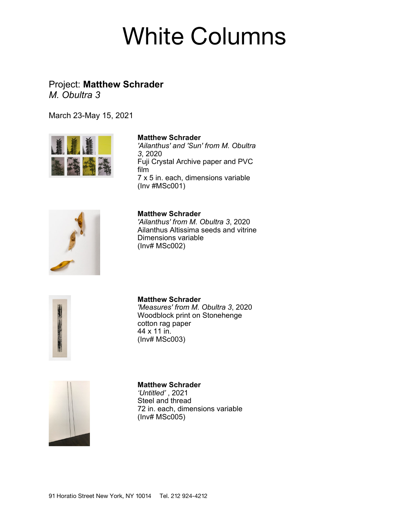# White Columns

## Project: **Matthew Schrader** *M. Obultra 3*

March 23-May 15, 2021



#### **Matthew Schrader**

*'Ailanthus' and 'Sun' from M. Obultra 3*, 2020 Fuji Crystal Archive paper and PVC film 7 x 5 in. each, dimensions variable (Inv #MSc001)



**Matthew Schrader**

*'Ailanthus' from M. Obultra 3*, 2020 Ailanthus Altissima seeds and vitrine Dimensions variable (Inv# MSc002)



**Matthew Schrader** *'Measures' from M. Obultra 3*, 2020 Woodblock print on Stonehenge cotton rag paper 44 x 11 in. (Inv# MSc003)



#### **Matthew Schrader**

*'Untitled'* , 2021 Steel and thread 72 in. each, dimensions variable (Inv# MSc005)